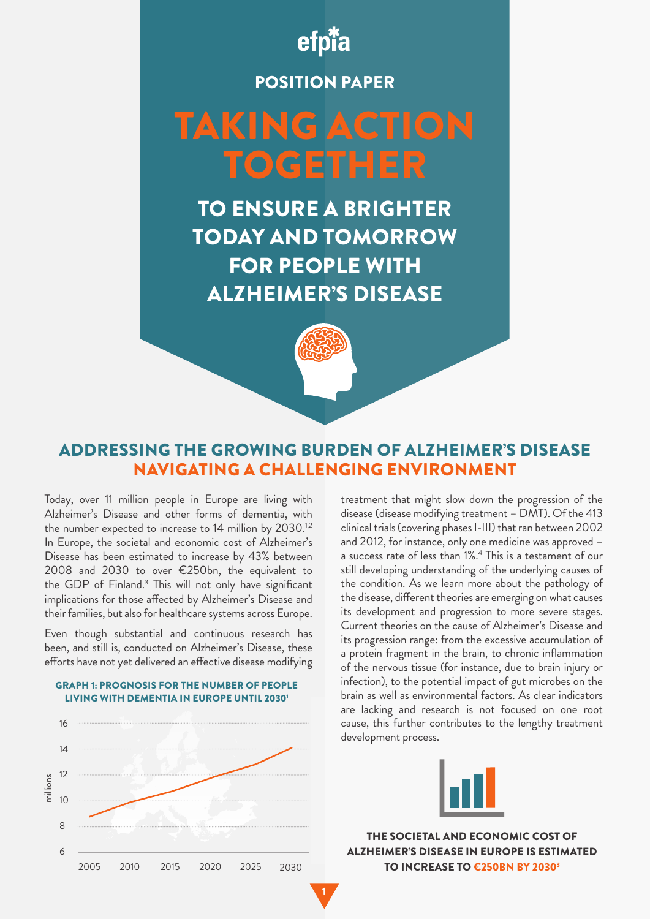

# POSITION PAPER

# TAKING ACTION TOGETHER

TO ENSURE A BRIGHTER TODAY AND TOMORROW FOR PEOPLE WITH ALZHEIMER'S DISEASE



# ADDRESSING THE GROWING BURDEN OF ALZHEIMER'S DISEASE NAVIGATING A CHALLENGING ENVIRONMENT

1

Today, over 11 million people in Europe are living with Alzheimer's Disease and other forms of dementia, with the number expected to increase to 14 million by 2030.<sup>1,2</sup> In Europe, the societal and economic cost of Alzheimer's Disease has been estimated to increase by 43% between 2008 and 2030 to over €250bn, the equivalent to the GDP of Finland.3 This will not only have significant implications for those affected by Alzheimer's Disease and their families, but also for healthcare systems across Europe.

Even though substantial and continuous research has been, and still is, conducted on Alzheimer's Disease, these efforts have not yet delivered an effective disease modifying





treatment that might slow down the progression of the disease (disease modifying treatment – DMT). Of the 413 clinical trials (covering phases I-III) that ran between 2002 and 2012, for instance, only one medicine was approved – a success rate of less than 1%.4 This is a testament of our still developing understanding of the underlying causes of the condition. As we learn more about the pathology of the disease, different theories are emerging on what causes its development and progression to more severe stages. Current theories on the cause of Alzheimer's Disease and its progression range: from the excessive accumulation of a protein fragment in the brain, to chronic inflammation of the nervous tissue (for instance, due to brain injury or infection), to the potential impact of gut microbes on the brain as well as environmental factors. As clear indicators are lacking and research is not focused on one root cause, this further contributes to the lengthy treatment development process.



THE SOCIETAL AND ECONOMIC COST OF ALZHEIMER'S DISEASE IN EUROPE IS ESTIMATED TO INCREASE TO €250BN BY 2030<sup>3</sup>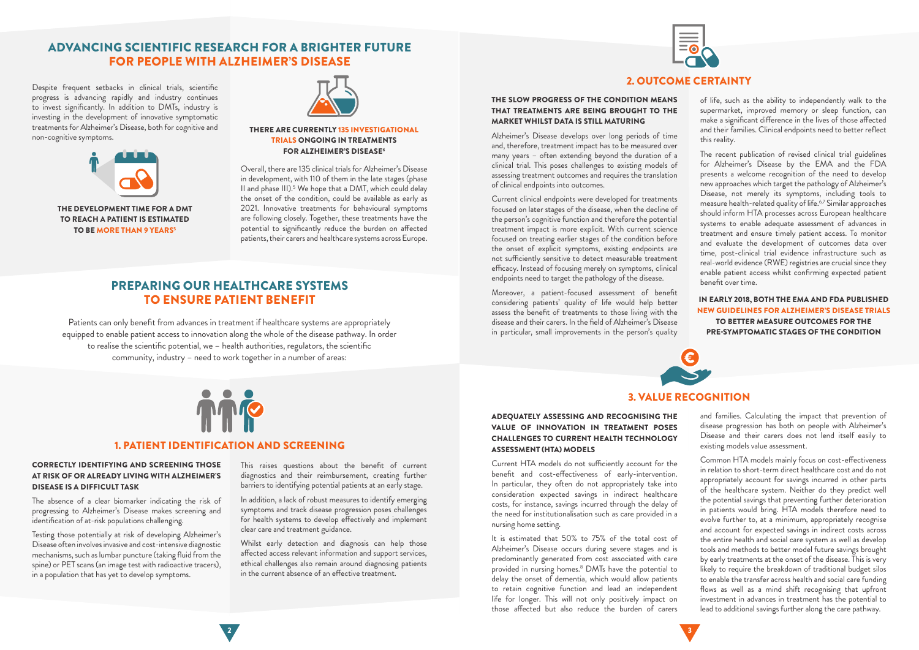#### CORRECTLY IDENTIFYING AND SCREENING THOSE AT RISK OF OR ALREADY LIVING WITH ALZHEIMER'S DISEASE IS A DIFFICULT TASK

The absence of a clear biomarker indicating the risk of progressing to Alzheimer's Disease makes screening and identification of at-risk populations challenging.

Testing those potentially at risk of developing Alzheimer's Disease often involves invasive and cost-intensive diagnostic mechanisms, such as lumbar puncture (taking fluid from the spine) or PET scans (an image test with radioactive tracers), in a population that has yet to develop symptoms.

#### 1. PATIENT IDENTIFICATION AND SCREENING

Whilst early detection and diagnosis can help those affected access relevant information and support services, ethical challenges also remain around diagnosing patients in the current absence of an effective treatment.



#### IN EARLY 2018, BOTH THE EMA AND FDA PUBLISHED NEW GUIDELINES FOR ALZHEIMER'S DISEASE TRIALS TO BETTER MEASURE OUTCOMES FOR THE PRE-SYMPTOMATIC STAGES OF THE CONDITION

This raises questions about the benefit of current diagnostics and their reimbursement, creating further barriers to identifying potential patients at an early stage.

In addition, a lack of robust measures to identify emerging symptoms and track disease progression poses challenges for health systems to develop effectively and implement clear care and treatment guidance.

#### THE SLOW PROGRESS OF THE CONDITION MEANS THAT TREATMENTS ARE BEING BROUGHT TO THE MARKET WHILST DATA IS STILL MATURING

Alzheimer's Disease develops over long periods of time and, therefore, treatment impact has to be measured over many years – often extending beyond the duration of a clinical trial. This poses challenges to existing models of assessing treatment outcomes and requires the translation of clinical endpoints into outcomes.

Current clinical endpoints were developed for treatments focused on later stages of the disease, when the decline of the person's cognitive function and therefore the potential treatment impact is more explicit. With current science focused on treating earlier stages of the condition before the onset of explicit symptoms, existing endpoints are not sufficiently sensitive to detect measurable treatment efficacy. Instead of focusing merely on symptoms, clinical endpoints need to target the pathology of the disease.

Moreover, a patient-focused assessment of benefit considering patients' quality of life would help better assess the benefit of treatments to those living with the disease and their carers. In the field of Alzheimer's Disease in particular, small improvements in the person's quality



THE DEVELOPMENT TIME FOR A DMT TO REACH A PATIENT IS ESTIMATED TO BE MORE THAN 9 YEARS<sup>5</sup>



### 2. OUTCOME CERTAINTY

of life, such as the ability to independently walk to the supermarket, improved memory or sleep function, can make a significant difference in the lives of those affected and their families. Clinical endpoints need to better reflect this reality.

The recent publication of revised clinical trial guidelines for Alzheimer's Disease by the EMA and the FDA presents a welcome recognition of the need to develop new approaches which target the pathology of Alzheimer's Disease, not merely its symptoms, including tools to measure health-related quality of life.6,7 Similar approaches should inform HTA processes across European healthcare systems to enable adequate assessment of advances in treatment and ensure timely patient access. To monitor and evaluate the development of outcomes data over time, post-clinical trial evidence infrastructure such as real-world evidence (RWE) registries are crucial since they enable patient access whilst confirming expected patient benefit over time.

# ADVANCING SCIENTIFIC RESEARCH FOR A BRIGHTER FUTURE FOR PEOPLE WITH ALZHEIMER'S DISEASE

Despite frequent setbacks in clinical trials, scientific progress is advancing rapidly and industry continues to invest significantly. In addition to DMTs, industry is investing in the development of innovative symptomatic treatments for Alzheimer's Disease, both for cognitive and non-cognitive symptoms.



Overall, there are 135 clinical trials for Alzheimer's Disease in development, with 110 of them in the late stages (phase II and phase III).<sup>5</sup> We hope that a DMT, which could delay the onset of the condition, could be available as early as 2021. Innovative treatments for behavioural symptoms are following closely. Together, these treatments have the potential to significantly reduce the burden on affected patients, their carers and healthcare systems across Europe.

#### THERE ARE CURRENTLY 135 INVESTIGATIONAL TRIALS ONGOING IN TREATMENTS FOR ALZHEIMER'S DISEASE6

Patients can only benefit from advances in treatment if healthcare systems are appropriately equipped to enable patient access to innovation along the whole of the disease pathway. In order to realise the scientific potential, we – health authorities, regulators, the scientific community, industry – need to work together in a number of areas:



# PREPARING OUR HEALTHCARE SYSTEMS TO ENSURE PATIENT BENEFIT

#### ADEQUATELY ASSESSING AND RECOGNISING THE VALUE OF INNOVATION IN TREATMENT POSES CHALLENGES TO CURRENT HEALTH TECHNOLOGY ASSESSMENT (HTA) MODELS

Current HTA models do not sufficiently account for the benefit and cost-effectiveness of early-intervention. In particular, they often do not appropriately take into consideration expected savings in indirect healthcare costs, for instance, savings incurred through the delay of the need for institutionalisation such as care provided in a nursing home setting.

It is estimated that 50% to 75% of the total cost of Alzheimer's Disease occurs during severe stages and is predominantly generated from cost associated with care provided in nursing homes.<sup>8</sup> DMTs have the potential to delay the onset of dementia, which would allow patients to retain cognitive function and lead an independent life for longer. This will not only positively impact on those affected but also reduce the burden of carers

## 3. VALUE RECOGNITION

and families. Calculating the impact that prevention of disease progression has both on people with Alzheimer's Disease and their carers does not lend itself easily to existing models value assessment.

Common HTA models mainly focus on cost-effectiveness in relation to short-term direct healthcare cost and do not appropriately account for savings incurred in other parts of the healthcare system. Neither do they predict well the potential savings that preventing further deterioration in patients would bring. HTA models therefore need to evolve further to, at a minimum, appropriately recognise and account for expected savings in indirect costs across the entire health and social care system as well as develop tools and methods to better model future savings brought by early treatments at the onset of the disease. This is very likely to require the breakdown of traditional budget silos to enable the transfer across health and social care funding flows as well as a mind shift recognising that upfront investment in advances in treatment has the potential to lead to additional savings further along the care pathway.